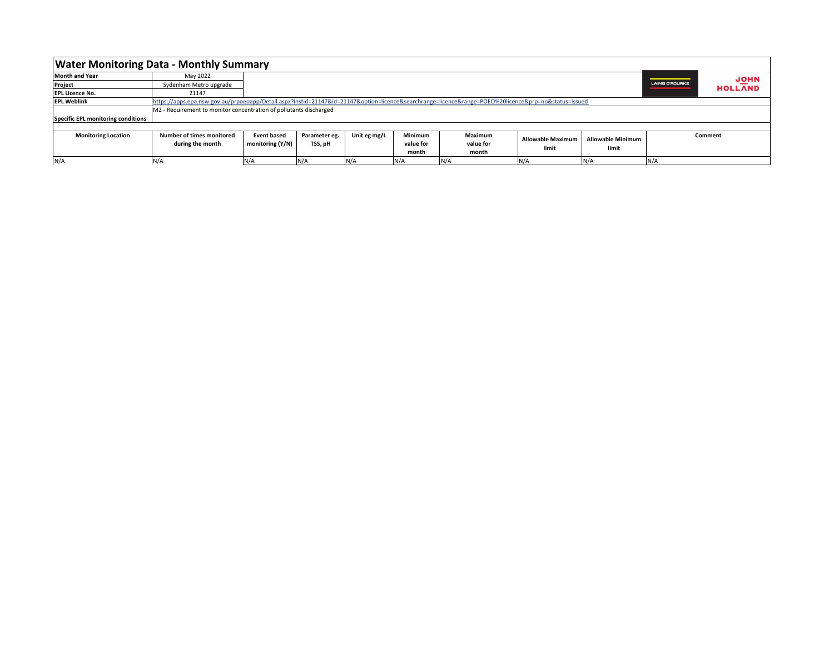| <b>Water Monitoring Data - Monthly Summary</b> |                                                                                                                                                 |                    |               |              |                |           |                   |                          |                       |                |  |
|------------------------------------------------|-------------------------------------------------------------------------------------------------------------------------------------------------|--------------------|---------------|--------------|----------------|-----------|-------------------|--------------------------|-----------------------|----------------|--|
| <b>Month and Year</b>                          | May 2022                                                                                                                                        |                    |               |              |                |           |                   |                          |                       | <b>JOHN</b>    |  |
| Project                                        | Sydenham Metro upgrade                                                                                                                          |                    |               |              |                |           |                   |                          | <b>LAING O'ROURKE</b> | <b>HOLLAND</b> |  |
| <b>EPL Licence No.</b>                         | 21147                                                                                                                                           |                    |               |              |                |           |                   |                          |                       |                |  |
| <b>EPL Weblink</b>                             | https://apps.epa.nsw.gov.au/prpoeoapp/Detail.aspx?instid=21147&id=21147&option=licence&searchrange=licence⦥=POEO%20licence&prp=no&status=lssued |                    |               |              |                |           |                   |                          |                       |                |  |
|                                                | M2 - Requirement to monitor concentration of pollutants discharged                                                                              |                    |               |              |                |           |                   |                          |                       |                |  |
| Specific EPL monitoring conditions             |                                                                                                                                                 |                    |               |              |                |           |                   |                          |                       |                |  |
|                                                |                                                                                                                                                 |                    |               |              |                |           |                   |                          |                       |                |  |
| <b>Monitoring Location</b>                     | <b>Number of times monitored</b>                                                                                                                | <b>Event based</b> | Parameter eg. | Unit eg mg/L | <b>Minimum</b> | Maximum   | Allowable Maximum | <b>Allowable Minimum</b> |                       | Comment        |  |
|                                                | during the month                                                                                                                                | monitoring (Y/N)   | TSS, pH       |              | value for      | value for | limit             | limit                    |                       |                |  |
|                                                |                                                                                                                                                 |                    |               |              | month          | month     |                   |                          |                       |                |  |
| N/A                                            | N/A                                                                                                                                             | N/A                | N/A           | N/A          | N/A            | N/A       | N/A               | N/A                      | $N/\rho$              |                |  |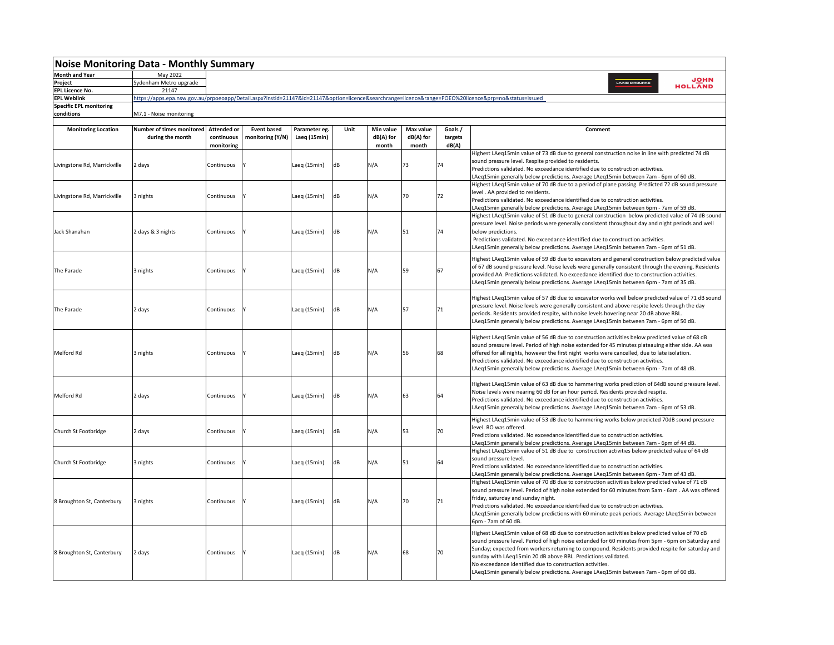| <b>Noise Monitoring Data - Monthly Summary</b> |                                               |                                  |                                        |                               |      |                        |                        |                    |                                                                                                                                                 |  |  |
|------------------------------------------------|-----------------------------------------------|----------------------------------|----------------------------------------|-------------------------------|------|------------------------|------------------------|--------------------|-------------------------------------------------------------------------------------------------------------------------------------------------|--|--|
| <b>Month and Year</b>                          | May 2022                                      |                                  |                                        |                               |      |                        |                        |                    |                                                                                                                                                 |  |  |
| Project                                        | Sydenham Metro upgrade                        | <b>JOHN</b><br>LAING O'ROUR      |                                        |                               |      |                        |                        |                    |                                                                                                                                                 |  |  |
| <b>EPL Licence No.</b>                         | 21147                                         |                                  |                                        |                               |      |                        |                        |                    | <b>HOLLAND</b>                                                                                                                                  |  |  |
| <b>EPL Weblink</b>                             |                                               |                                  |                                        |                               |      |                        |                        |                    | https://apps.epa.nsw.gov.au/prpoeoapp/Detail.aspx?instid=21147&id=21147&option=licence&searchrange=licence⦥=POEO%20licence&prp=no&status=Issued |  |  |
| <b>Specific EPL monitoring</b>                 |                                               |                                  |                                        |                               |      |                        |                        |                    |                                                                                                                                                 |  |  |
| conditions                                     | M7.1 - Noise monitoring                       |                                  |                                        |                               |      |                        |                        |                    |                                                                                                                                                 |  |  |
|                                                |                                               |                                  |                                        |                               |      |                        |                        |                    |                                                                                                                                                 |  |  |
| <b>Monitoring Location</b>                     | Number of times monitored<br>during the month | <b>Attended or</b><br>continuous | <b>Event based</b><br>monitoring (Y/N) | Parameter eg.<br>Laeq (15min) | Unit | Min value<br>dB(A) for | Max value<br>dB(A) for | Goals /<br>targets | Comment                                                                                                                                         |  |  |
|                                                |                                               | monitoring                       |                                        |                               |      | month                  | month                  | dB(A)              |                                                                                                                                                 |  |  |
|                                                |                                               |                                  |                                        |                               |      |                        |                        |                    | Highest LAeq15min value of 73 dB due to general construction noise in line with predicted 74 dB                                                 |  |  |
| Livingstone Rd, Marrickville                   | 2 days                                        | Continuous                       |                                        | Laeq (15min)                  | dB   | N/A                    | 73                     | 74                 | sound pressure level. Respite provided to residents.                                                                                            |  |  |
|                                                |                                               |                                  |                                        |                               |      |                        |                        |                    | Predictions validated. No exceedance identified due to construction activities.                                                                 |  |  |
|                                                |                                               |                                  |                                        |                               |      |                        |                        |                    | LAeg15min generally below predictions. Average LAeg15min between 7am - 6pm of 60 dB.                                                            |  |  |
|                                                |                                               |                                  |                                        |                               |      |                        |                        |                    | Highest LAeq15min value of 70 dB due to a period of plane passing. Predicted 72 dB sound pressure                                               |  |  |
| Livingstone Rd, Marrickville                   | 3 nights                                      | Continuous                       |                                        | Laeg (15min)                  | dB   | N/A                    | 70                     | 72                 | level. AA provided to residents.                                                                                                                |  |  |
|                                                |                                               |                                  |                                        |                               |      |                        |                        |                    | Predictions validated. No exceedance identified due to construction activities.                                                                 |  |  |
|                                                |                                               |                                  |                                        |                               |      |                        |                        |                    | LAeq15min generally below predictions. Average LAeq15min between 6pm - 7am of 59 dB.                                                            |  |  |
|                                                |                                               |                                  |                                        |                               |      |                        |                        |                    | Highest LAeq15min value of 51 dB due to general construction below predicted value of 74 dB sound                                               |  |  |
|                                                |                                               |                                  |                                        |                               |      |                        |                        |                    | pressure level. Noise periods were generally consistent throughout day and night periods and well                                               |  |  |
| Jack Shanahan                                  | 2 days & 3 nights                             | Continuous                       |                                        | Laeq (15min)                  | dB   | N/A                    | 51                     | 74                 | below predictions.                                                                                                                              |  |  |
|                                                |                                               |                                  |                                        |                               |      |                        |                        |                    | Predictions validated. No exceedance identified due to construction activities.                                                                 |  |  |
|                                                |                                               |                                  |                                        |                               |      |                        |                        |                    | LAeq15min generally below predictions. Average LAeq15min between 7am - 6pm of 51 dB.                                                            |  |  |
|                                                |                                               |                                  |                                        |                               |      |                        |                        |                    | Highest LAeq15min value of 59 dB due to excavators and general construction below predicted value                                               |  |  |
|                                                | 3 nights                                      | Continuous                       |                                        | Laeq (15min)                  |      |                        |                        |                    | of 67 dB sound pressure level. Noise levels were generally consistent through the evening. Residents                                            |  |  |
| The Parade                                     |                                               |                                  |                                        |                               | dB   | N/A                    | 59                     | 67                 | provided AA. Predictions validated. No exceedance identified due to construction activities.                                                    |  |  |
|                                                |                                               |                                  |                                        |                               |      |                        |                        |                    | LAeq15min generally below predictions. Average LAeq15min between 6pm - 7am of 35 dB.                                                            |  |  |
|                                                |                                               |                                  |                                        |                               |      |                        |                        |                    |                                                                                                                                                 |  |  |
|                                                |                                               |                                  |                                        |                               |      |                        |                        |                    | Highest LAeg15min value of 57 dB due to excavator works well below predicted value of 71 dB sound                                               |  |  |
|                                                |                                               |                                  |                                        |                               |      |                        |                        |                    | pressure level. Noise levels were generally consistent and above respite levels through the day                                                 |  |  |
| The Parade                                     | 2 days                                        | Continuous                       |                                        | Laeq (15min)                  | dB   | N/A                    | 57                     | 71                 | periods. Residents provided respite, with noise levels hovering near 20 dB above RBL.                                                           |  |  |
|                                                |                                               |                                  |                                        |                               |      |                        |                        |                    | LAeq15min generally below predictions. Average LAeq15min between 7am - 6pm of 50 dB.                                                            |  |  |
|                                                |                                               |                                  |                                        |                               |      |                        |                        |                    |                                                                                                                                                 |  |  |
|                                                |                                               |                                  |                                        |                               |      |                        |                        |                    | Highest LAeq15min value of 56 dB due to construction activities below predicted value of 68 dB                                                  |  |  |
|                                                |                                               |                                  |                                        |                               |      |                        |                        |                    | sound pressure level. Period of high noise extended for 45 minutes plateauing either side. AA was                                               |  |  |
| Melford Rd                                     | 3 nights                                      | Continuous                       |                                        | Laeg (15min)                  | dB   | N/A                    | 56                     | 68                 | offered for all nights, however the first night works were cancelled, due to late isolation.                                                    |  |  |
|                                                |                                               |                                  |                                        |                               |      |                        |                        |                    | Predictions validated. No exceedance identified due to construction activities.                                                                 |  |  |
|                                                |                                               |                                  |                                        |                               |      |                        |                        |                    | LAeq15min generally below predictions. Average LAeq15min between 6pm - 7am of 48 dB.                                                            |  |  |
|                                                |                                               |                                  |                                        |                               |      |                        |                        |                    |                                                                                                                                                 |  |  |
|                                                |                                               | Continuous                       |                                        | Laeq (15min)                  | dB   | N/A                    |                        |                    | Highest LAeq15min value of 63 dB due to hammering works prediction of 64dB sound pressure level.                                                |  |  |
| Melford Rd                                     | 2 days                                        |                                  |                                        |                               |      |                        | 63                     | 64                 | Noise levels were nearing 60 dB for an hour period. Residents provided respite.                                                                 |  |  |
|                                                |                                               |                                  |                                        |                               |      |                        |                        |                    | Predictions validated. No exceedance identified due to construction activities.                                                                 |  |  |
|                                                |                                               |                                  |                                        |                               |      |                        |                        |                    | LAeq15min generally below predictions. Average LAeq15min between 7am - 6pm of 53 dB.                                                            |  |  |
|                                                |                                               |                                  |                                        |                               |      |                        |                        |                    | Highest LAeg15min value of 53 dB due to hammering works below predicted 70dB sound pressure                                                     |  |  |
|                                                |                                               |                                  |                                        |                               |      |                        |                        |                    | level. RO was offered.                                                                                                                          |  |  |
| Church St Footbridge                           | 2 days                                        | Continuous                       |                                        | Laeq (15min)                  | dB   | N/A                    | 53                     | 70                 | Predictions validated. No exceedance identified due to construction activities.                                                                 |  |  |
|                                                |                                               |                                  |                                        |                               |      |                        |                        |                    | LAeq15min generally below predictions. Average LAeq15min between 7am - 6pm of 44 dB                                                             |  |  |
|                                                |                                               |                                  |                                        |                               |      |                        |                        |                    | Highest LAeq15min value of 51 dB due to construction activities below predicted value of 64 dB                                                  |  |  |
|                                                |                                               |                                  |                                        |                               |      |                        |                        |                    | sound pressure level.                                                                                                                           |  |  |
| Church St Footbridge                           | 3 nights                                      | Continuous                       |                                        | Laeq (15min)                  | dB   | N/A                    | 51                     | 64                 | Predictions validated. No exceedance identified due to construction activities.                                                                 |  |  |
|                                                |                                               |                                  |                                        |                               |      |                        |                        |                    | LAeq15min generally below predictions. Average LAeq15min between 6pm - 7am of 43 dB.                                                            |  |  |
|                                                |                                               |                                  |                                        |                               |      |                        |                        |                    | Highest LAeq15min value of 70 dB due to construction activities below predicted value of 71 dB                                                  |  |  |
|                                                |                                               |                                  |                                        |                               |      |                        |                        |                    | sound pressure level. Period of high noise extended for 60 minutes from 5am - 6am . AA was offered                                              |  |  |
|                                                |                                               |                                  |                                        |                               |      |                        |                        |                    | friday, saturday and sunday night.                                                                                                              |  |  |
| 8 Broughton St, Canterbury                     | 3 nights                                      | Continuous                       |                                        | Laeg (15min)                  | dB   | N/A                    | 70                     | 71                 | Predictions validated. No exceedance identified due to construction activities.                                                                 |  |  |
|                                                |                                               |                                  |                                        |                               |      |                        |                        |                    | LAeq15min generally below predictions with 60 minute peak periods. Average LAeq15min between                                                    |  |  |
|                                                |                                               |                                  |                                        |                               |      |                        |                        |                    | 6pm - 7am of 60 dB.                                                                                                                             |  |  |
|                                                |                                               |                                  |                                        |                               |      |                        |                        |                    | Highest LAeg15min value of 68 dB due to construction activities below predicted value of 70 dB                                                  |  |  |
|                                                |                                               | Continuous                       |                                        | Laeq (15min)                  |      |                        |                        |                    | sound pressure level. Period of high noise extended for 60 minutes from 5pm - 6pm on Saturday and                                               |  |  |
|                                                |                                               |                                  |                                        |                               | dB   |                        |                        |                    | Sunday; expected from workers returning to compound. Residents provided respite for saturday and                                                |  |  |
| 8 Broughton St, Canterbury                     | 2 days                                        |                                  |                                        |                               |      | N/A                    | 68                     | 70                 | sunday with LAeq15min 20 dB above RBL. Predictions validated.                                                                                   |  |  |
|                                                |                                               |                                  |                                        |                               |      |                        |                        |                    | No exceedance identified due to construction activities.                                                                                        |  |  |
|                                                |                                               |                                  |                                        |                               |      |                        |                        |                    | LAeq15min generally below predictions. Average LAeq15min between 7am - 6pm of 60 dB.                                                            |  |  |
|                                                |                                               |                                  |                                        |                               |      |                        |                        |                    |                                                                                                                                                 |  |  |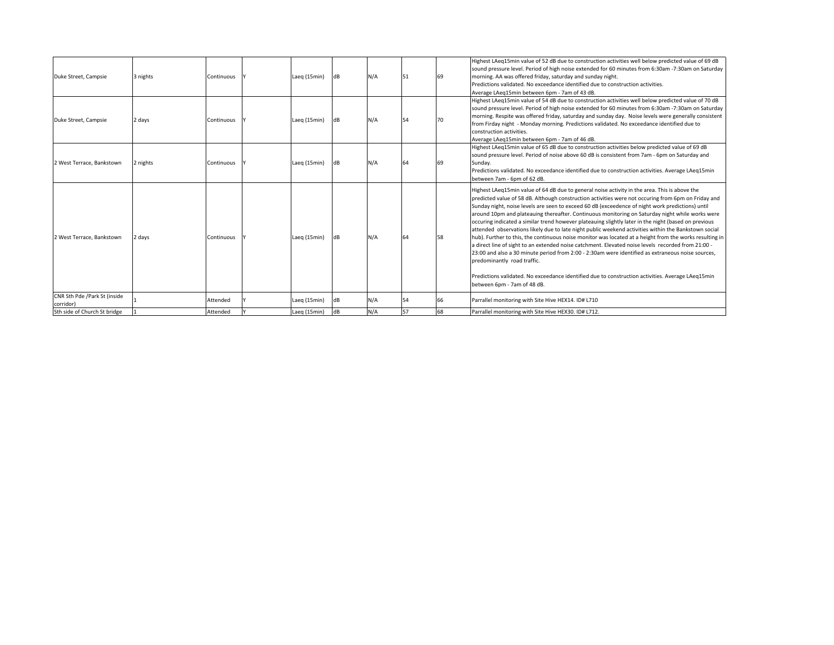| Duke Street, Campsie                      | 3 nights | Continuous | Laeg (15min) | AB        | N/A |    | 69 | Highest LAeq15min value of 52 dB due to construction activities well below predicted value of 69 dB<br>sound pressure level. Period of high noise extended for 60 minutes from 6:30am -7:30am on Saturday<br>morning. AA was offered friday, saturday and sunday night.<br>Predictions validated. No exceedance identified due to construction activities.<br>Average LAeg15min between 6pm - 7am of 43 dB.                                                                                                                                                                                                                                                                                                                                                                                                                                                                                                                                                                                                                                                                                                          |
|-------------------------------------------|----------|------------|--------------|-----------|-----|----|----|----------------------------------------------------------------------------------------------------------------------------------------------------------------------------------------------------------------------------------------------------------------------------------------------------------------------------------------------------------------------------------------------------------------------------------------------------------------------------------------------------------------------------------------------------------------------------------------------------------------------------------------------------------------------------------------------------------------------------------------------------------------------------------------------------------------------------------------------------------------------------------------------------------------------------------------------------------------------------------------------------------------------------------------------------------------------------------------------------------------------|
| Duke Street, Campsie                      | 2 days   | Continuous | Laeg (15min) | dB        | N/A |    |    | Highest LAeq15min value of 54 dB due to construction activities well below predicted value of 70 dB<br>sound pressure level. Period of high noise extended for 60 minutes from 6:30am -7:30am on Saturday<br>morning. Respite was offered friday, saturday and sunday day. Noise levels were generally consistent<br>from Firday night - Monday morning. Predictions validated. No exceedance identified due to<br>construction activities.<br>Average LAeg15min between 6pm - 7am of 46 dB.                                                                                                                                                                                                                                                                                                                                                                                                                                                                                                                                                                                                                         |
| 2 West Terrace, Bankstown                 | 2 nights | Continuous | Laeg (15min) | dB        | N/A |    | 69 | Highest LAeq15min value of 65 dB due to construction activities below predicted value of 69 dB<br>sound pressure level. Period of noise above 60 dB is consistent from 7am - 6pm on Saturday and<br>Sunday.<br>Predictions validated. No exceedance identified due to construction activities. Average LAeg15min<br>between 7am - 6pm of 62 dB.                                                                                                                                                                                                                                                                                                                                                                                                                                                                                                                                                                                                                                                                                                                                                                      |
| 2 West Terrace, Bankstown                 | 2 days   | Continuous | Laeg (15min) | dB        | N/A | 64 | 58 | Highest LAeq15min value of 64 dB due to general noise activity in the area. This is above the<br>predicted value of 58 dB. Although construction activities were not occuring from 6pm on Friday and<br>Sunday night, noise levels are seen to exceed 60 dB (exceedence of night work predictions) until<br>around 10pm and plateauing thereafter. Continuous monitoring on Saturday night while works were<br>occuring indicated a similar trend however plateauing slightly later in the night (based on previous<br>attended observations likely due to late night public weekend activities within the Bankstown social<br>hub). Further to this, the continuous noise monitor was located at a height from the works resulting in<br>a direct line of sight to an extended noise catchment. Elevated noise levels recorded from 21:00 -<br>23:00 and also a 30 minute period from 2:00 - 2:30am were identified as extraneous noise sources,<br>predominantly road traffic.<br>Predictions validated. No exceedance identified due to construction activities. Average LAeq15min<br>between 6pm - 7am of 48 dB. |
| CNR Sth Pde /Park St (inside<br>corridor) |          | Attended   | Laeg (15min) | dB        | N/A | 54 | 66 | Parrallel monitoring with Site Hive HEX14. ID# L710                                                                                                                                                                                                                                                                                                                                                                                                                                                                                                                                                                                                                                                                                                                                                                                                                                                                                                                                                                                                                                                                  |
| Sth side of Church St bridge              |          | Attended   | Laeg (15min) | <b>dB</b> | N/A | 57 | 68 | Parrallel monitoring with Site Hive HEX30, ID# L712.                                                                                                                                                                                                                                                                                                                                                                                                                                                                                                                                                                                                                                                                                                                                                                                                                                                                                                                                                                                                                                                                 |